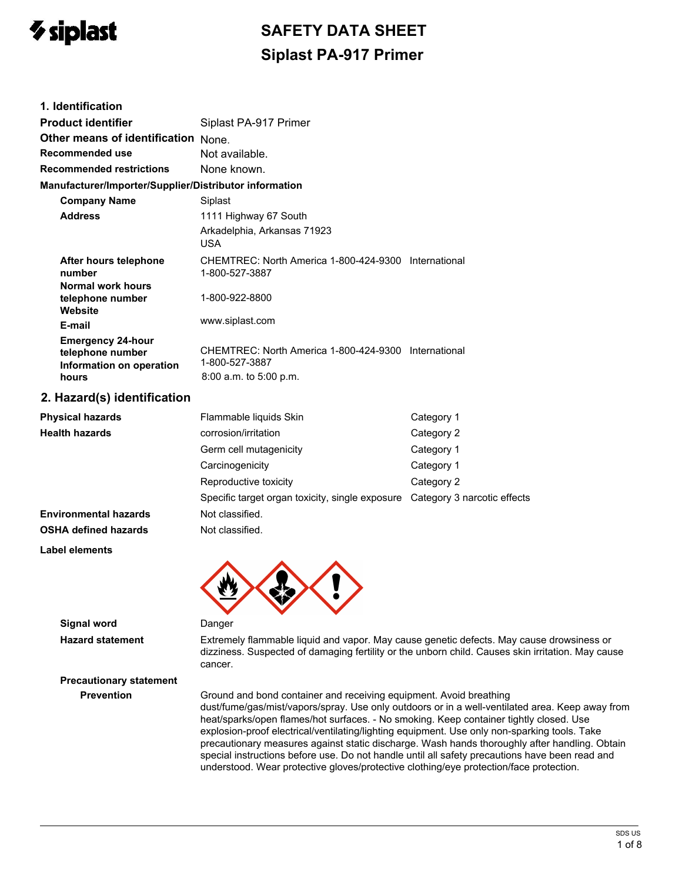

**Precautionary statement Prevention**

# **SAFETY DATA SHEET Siplast PA-917 Primer**

| 1. Identification                                                                 |                                                                                                      |                                                                                                                                                                                               |
|-----------------------------------------------------------------------------------|------------------------------------------------------------------------------------------------------|-----------------------------------------------------------------------------------------------------------------------------------------------------------------------------------------------|
| <b>Product identifier</b>                                                         | Siplast PA-917 Primer                                                                                |                                                                                                                                                                                               |
| Other means of identification None.                                               |                                                                                                      |                                                                                                                                                                                               |
| <b>Recommended use</b>                                                            | Not available.                                                                                       |                                                                                                                                                                                               |
| <b>Recommended restrictions</b>                                                   | None known.                                                                                          |                                                                                                                                                                                               |
| Manufacturer/Importer/Supplier/Distributor information                            |                                                                                                      |                                                                                                                                                                                               |
| <b>Company Name</b>                                                               | Siplast                                                                                              |                                                                                                                                                                                               |
| <b>Address</b>                                                                    | 1111 Highway 67 South                                                                                |                                                                                                                                                                                               |
|                                                                                   | Arkadelphia, Arkansas 71923<br>USA                                                                   |                                                                                                                                                                                               |
| After hours telephone<br>number<br><b>Normal work hours</b>                       | CHEMTREC: North America 1-800-424-9300 International<br>1-800-527-3887                               |                                                                                                                                                                                               |
| telephone number<br>Website                                                       | 1-800-922-8800                                                                                       |                                                                                                                                                                                               |
| E-mail                                                                            | www.siplast.com                                                                                      |                                                                                                                                                                                               |
| <b>Emergency 24-hour</b><br>telephone number<br>Information on operation<br>hours | CHEMTREC: North America 1-800-424-9300 International<br>1-800-527-3887<br>$8:00$ a.m. to $5:00$ p.m. |                                                                                                                                                                                               |
| 2. Hazard(s) identification                                                       |                                                                                                      |                                                                                                                                                                                               |
| <b>Physical hazards</b>                                                           | Flammable liquids Skin                                                                               | Category 1                                                                                                                                                                                    |
| <b>Health hazards</b>                                                             | corrosion/irritation                                                                                 | Category 2                                                                                                                                                                                    |
|                                                                                   | Germ cell mutagenicity                                                                               | Category 1                                                                                                                                                                                    |
|                                                                                   | Carcinogenicity                                                                                      | Category 1                                                                                                                                                                                    |
|                                                                                   | Reproductive toxicity                                                                                | Category 2                                                                                                                                                                                    |
|                                                                                   | Specific target organ toxicity, single exposure  Category 3 narcotic effects                         |                                                                                                                                                                                               |
| <b>Environmental hazards</b>                                                      | Not classified.                                                                                      |                                                                                                                                                                                               |
| <b>OSHA defined hazards</b>                                                       | Not classified.                                                                                      |                                                                                                                                                                                               |
| Label elements                                                                    |                                                                                                      |                                                                                                                                                                                               |
|                                                                                   |                                                                                                      |                                                                                                                                                                                               |
| Signal word                                                                       | Danger                                                                                               |                                                                                                                                                                                               |
| <b>Hazard statement</b>                                                           | cancer.                                                                                              | Extremely flammable liquid and vapor. May cause genetic defects. May cause drowsiness or<br>dizziness. Suspected of damaging fertility or the unborn child. Causes skin irritation. May cause |

Ground and bond container and receiving equipment. Avoid breathing dust/fume/gas/mist/vapors/spray. Use only outdoors or in a well-ventilated area. Keep away from heat/sparks/open flames/hot surfaces. - No smoking. Keep container tightly closed. Use explosion-proof electrical/ventilating/lighting equipment. Use only non-sparking tools. Take precautionary measures against static discharge. Wash hands thoroughly after handling. Obtain special instructions before use. Do not handle until all safety precautions have been read and understood. Wear protective gloves/protective clothing/eye protection/face protection.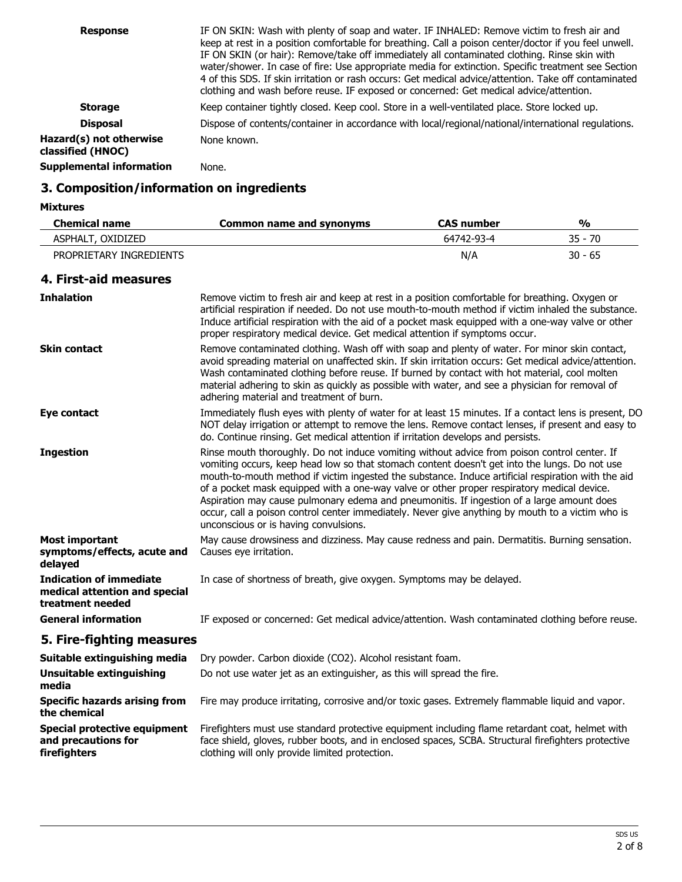| <b>Response</b>                              | IF ON SKIN: Wash with plenty of soap and water. IF INHALED: Remove victim to fresh air and<br>keep at rest in a position comfortable for breathing. Call a poison center/doctor if you feel unwell.<br>IF ON SKIN (or hair): Remove/take off immediately all contaminated clothing. Rinse skin with<br>water/shower. In case of fire: Use appropriate media for extinction. Specific treatment see Section<br>4 of this SDS. If skin irritation or rash occurs: Get medical advice/attention. Take off contaminated<br>clothing and wash before reuse. IF exposed or concerned: Get medical advice/attention. |
|----------------------------------------------|---------------------------------------------------------------------------------------------------------------------------------------------------------------------------------------------------------------------------------------------------------------------------------------------------------------------------------------------------------------------------------------------------------------------------------------------------------------------------------------------------------------------------------------------------------------------------------------------------------------|
| <b>Storage</b>                               | Keep container tightly closed. Keep cool. Store in a well-ventilated place. Store locked up.                                                                                                                                                                                                                                                                                                                                                                                                                                                                                                                  |
| <b>Disposal</b>                              | Dispose of contents/container in accordance with local/regional/national/international regulations.                                                                                                                                                                                                                                                                                                                                                                                                                                                                                                           |
| Hazard(s) not otherwise<br>classified (HNOC) | None known.                                                                                                                                                                                                                                                                                                                                                                                                                                                                                                                                                                                                   |
| <b>Supplemental information</b>              | None.                                                                                                                                                                                                                                                                                                                                                                                                                                                                                                                                                                                                         |

# **3. Composition/information on ingredients**

**Mixtures**

**firefighters**

| <b>Chemical name</b>    | Common name and synonyms | <b>CAS number</b> | %         |
|-------------------------|--------------------------|-------------------|-----------|
| ASPHALT, OXIDIZED       |                          | 64742-93-4        | $35 - 70$ |
| PROPRIETARY INGREDIENTS |                          | N/A               | 30 - 65   |

### **4. First-aid measures**

| <b>Inhalation</b>                                                                   | Remove victim to fresh air and keep at rest in a position comfortable for breathing. Oxygen or<br>artificial respiration if needed. Do not use mouth-to-mouth method if victim inhaled the substance.<br>Induce artificial respiration with the aid of a pocket mask equipped with a one-way valve or other<br>proper respiratory medical device. Get medical attention if symptoms occur.                                                                                                                                                                                                                                                  |
|-------------------------------------------------------------------------------------|---------------------------------------------------------------------------------------------------------------------------------------------------------------------------------------------------------------------------------------------------------------------------------------------------------------------------------------------------------------------------------------------------------------------------------------------------------------------------------------------------------------------------------------------------------------------------------------------------------------------------------------------|
| <b>Skin contact</b>                                                                 | Remove contaminated clothing. Wash off with soap and plenty of water. For minor skin contact,<br>avoid spreading material on unaffected skin. If skin irritation occurs: Get medical advice/attention.<br>Wash contaminated clothing before reuse. If burned by contact with hot material, cool molten<br>material adhering to skin as quickly as possible with water, and see a physician for removal of<br>adhering material and treatment of burn.                                                                                                                                                                                       |
| Eye contact                                                                         | Immediately flush eyes with plenty of water for at least 15 minutes. If a contact lens is present, DO<br>NOT delay irrigation or attempt to remove the lens. Remove contact lenses, if present and easy to<br>do. Continue rinsing. Get medical attention if irritation develops and persists.                                                                                                                                                                                                                                                                                                                                              |
| <b>Ingestion</b>                                                                    | Rinse mouth thoroughly. Do not induce vomiting without advice from poison control center. If<br>vomiting occurs, keep head low so that stomach content doesn't get into the lungs. Do not use<br>mouth-to-mouth method if victim ingested the substance. Induce artificial respiration with the aid<br>of a pocket mask equipped with a one-way valve or other proper respiratory medical device.<br>Aspiration may cause pulmonary edema and pneumonitis. If ingestion of a large amount does<br>occur, call a poison control center immediately. Never give anything by mouth to a victim who is<br>unconscious or is having convulsions. |
| <b>Most important</b><br>symptoms/effects, acute and<br>delayed                     | May cause drowsiness and dizziness. May cause redness and pain. Dermatitis. Burning sensation.<br>Causes eye irritation.                                                                                                                                                                                                                                                                                                                                                                                                                                                                                                                    |
| <b>Indication of immediate</b><br>medical attention and special<br>treatment needed | In case of shortness of breath, give oxygen. Symptoms may be delayed.                                                                                                                                                                                                                                                                                                                                                                                                                                                                                                                                                                       |
| <b>General information</b>                                                          | IF exposed or concerned: Get medical advice/attention. Wash contaminated clothing before reuse.                                                                                                                                                                                                                                                                                                                                                                                                                                                                                                                                             |
| 5. Fire-fighting measures                                                           |                                                                                                                                                                                                                                                                                                                                                                                                                                                                                                                                                                                                                                             |
| Suitable extinguishing media                                                        | Dry powder. Carbon dioxide (CO2). Alcohol resistant foam.                                                                                                                                                                                                                                                                                                                                                                                                                                                                                                                                                                                   |
| <b>Unsuitable extinguishing</b><br>media                                            | Do not use water jet as an extinguisher, as this will spread the fire.                                                                                                                                                                                                                                                                                                                                                                                                                                                                                                                                                                      |
| <b>Specific hazards arising from</b><br>the chemical                                | Fire may produce irritating, corrosive and/or toxic gases. Extremely flammable liquid and vapor.                                                                                                                                                                                                                                                                                                                                                                                                                                                                                                                                            |
| <b>Special protective equipment</b><br>and precautions for                          | Firefighters must use standard protective equipment including flame retardant coat, helmet with<br>face shield, gloves, rubber boots, and in enclosed spaces, SCBA. Structural firefighters protective                                                                                                                                                                                                                                                                                                                                                                                                                                      |

clothing will only provide limited protection.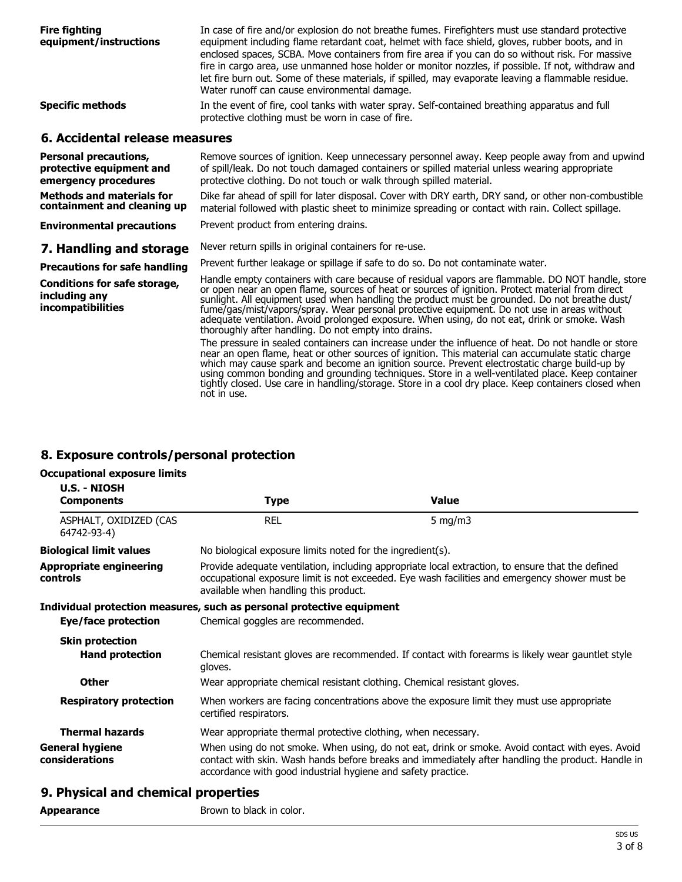| <b>Fire fighting</b><br>equipment/instructions                                   | In case of fire and/or explosion do not breathe fumes. Firefighters must use standard protective<br>equipment including flame retardant coat, helmet with face shield, gloves, rubber boots, and in<br>enclosed spaces, SCBA. Move containers from fire area if you can do so without risk. For massive<br>fire in cargo area, use unmanned hose holder or monitor nozzles, if possible. If not, withdraw and<br>let fire burn out. Some of these materials, if spilled, may evaporate leaving a flammable residue.<br>Water runoff can cause environmental damage. |
|----------------------------------------------------------------------------------|---------------------------------------------------------------------------------------------------------------------------------------------------------------------------------------------------------------------------------------------------------------------------------------------------------------------------------------------------------------------------------------------------------------------------------------------------------------------------------------------------------------------------------------------------------------------|
| <b>Specific methods</b>                                                          | In the event of fire, cool tanks with water spray. Self-contained breathing apparatus and full<br>protective clothing must be worn in case of fire.                                                                                                                                                                                                                                                                                                                                                                                                                 |
| 6. Accidental release measures                                                   |                                                                                                                                                                                                                                                                                                                                                                                                                                                                                                                                                                     |
| <b>Personal precautions,</b><br>protective equipment and<br>emergency procedures | Remove sources of ignition. Keep unnecessary personnel away. Keep people away from and upwind<br>of spill/leak. Do not touch damaged containers or spilled material unless wearing appropriate<br>protective clothing. Do not touch or walk through spilled material.                                                                                                                                                                                                                                                                                               |
| <b>Methods and materials for</b><br>containment and cleaning up                  | Dike far ahead of spill for later disposal. Cover with DRY earth, DRY sand, or other non-combustible<br>material followed with plastic sheet to minimize spreading or contact with rain. Collect spillage.                                                                                                                                                                                                                                                                                                                                                          |
| <b>Environmental precautions</b>                                                 | Prevent product from entering drains.                                                                                                                                                                                                                                                                                                                                                                                                                                                                                                                               |
| 7. Handling and storage                                                          | Never return spills in original containers for re-use.                                                                                                                                                                                                                                                                                                                                                                                                                                                                                                              |
| <b>Precautions for safe handling</b>                                             | Prevent further leakage or spillage if safe to do so. Do not contaminate water.                                                                                                                                                                                                                                                                                                                                                                                                                                                                                     |
| <b>Conditions for safe storage,</b><br>including any<br>incompatibilities        | Handle empty containers with care because of residual vapors are flammable. DO NOT handle, store<br>or open near an open flame, sources of heat or sources of ignition. Protect material from direct<br>sunlight. All equipment used when handling the product must be grounded. Do not breathe dust/<br>fume/gas/mist/vapors/spray. Wear personal protective equipment. Do not use in areas without<br>adequate ventilation. Avoid prolonged exposure. When using, do not eat, drink or smoke. Wash<br>thoroughly after handling. Do not empty into drains.        |
|                                                                                  | The pressure in sealed containers can increase under the influence of heat. Do not handle or store<br>near an open flame, heat or other sources of ignition. This material can accumulate static charge<br>which may cause spark and become an ignition source. Prevent electrostatic charge build-up by<br>using common bonding and grounding techniques. Store in a well-ventilated place. Keep container<br>tightly closed. Use care in handling/storage. Store in a cool dry place. Keep containers closed when<br>not in use.                                  |

## **8. Exposure controls/personal protection**

#### **Occupational exposure limits**

| <b>U.S. - NIOSH</b><br><b>Components</b>          | <b>Type</b>                                                                                                                                                                                                                                | <b>Value</b>                                                                                                                                                                                         |
|---------------------------------------------------|--------------------------------------------------------------------------------------------------------------------------------------------------------------------------------------------------------------------------------------------|------------------------------------------------------------------------------------------------------------------------------------------------------------------------------------------------------|
| ASPHALT, OXIDIZED (CAS<br>64742-93-4)             | <b>REL</b>                                                                                                                                                                                                                                 | 5 mg/m $3$                                                                                                                                                                                           |
| <b>Biological limit values</b>                    | No biological exposure limits noted for the ingredient(s).                                                                                                                                                                                 |                                                                                                                                                                                                      |
| <b>Appropriate engineering</b><br><b>controls</b> | Provide adequate ventilation, including appropriate local extraction, to ensure that the defined<br>occupational exposure limit is not exceeded. Eye wash facilities and emergency shower must be<br>available when handling this product. |                                                                                                                                                                                                      |
|                                                   | Individual protection measures, such as personal protective equipment                                                                                                                                                                      |                                                                                                                                                                                                      |
| Eye/face protection                               | Chemical goggles are recommended.                                                                                                                                                                                                          |                                                                                                                                                                                                      |
| <b>Skin protection</b>                            |                                                                                                                                                                                                                                            |                                                                                                                                                                                                      |
| <b>Hand protection</b>                            | gloves.                                                                                                                                                                                                                                    | Chemical resistant gloves are recommended. If contact with forearms is likely wear gauntlet style                                                                                                    |
| <b>Other</b>                                      |                                                                                                                                                                                                                                            | Wear appropriate chemical resistant clothing. Chemical resistant gloves.                                                                                                                             |
| <b>Respiratory protection</b>                     | certified respirators.                                                                                                                                                                                                                     | When workers are facing concentrations above the exposure limit they must use appropriate                                                                                                            |
| <b>Thermal hazards</b>                            | Wear appropriate thermal protective clothing, when necessary.                                                                                                                                                                              |                                                                                                                                                                                                      |
| <b>General hygiene</b><br>considerations          | accordance with good industrial hygiene and safety practice.                                                                                                                                                                               | When using do not smoke. When using, do not eat, drink or smoke. Avoid contact with eyes. Avoid<br>contact with skin. Wash hands before breaks and immediately after handling the product. Handle in |
| 0. Blocated and shouted monocation                |                                                                                                                                                                                                                                            |                                                                                                                                                                                                      |

## **9. Physical and chemical properties**

| <b>Appearance</b> |
|-------------------|
|-------------------|

**Brown to black in color.**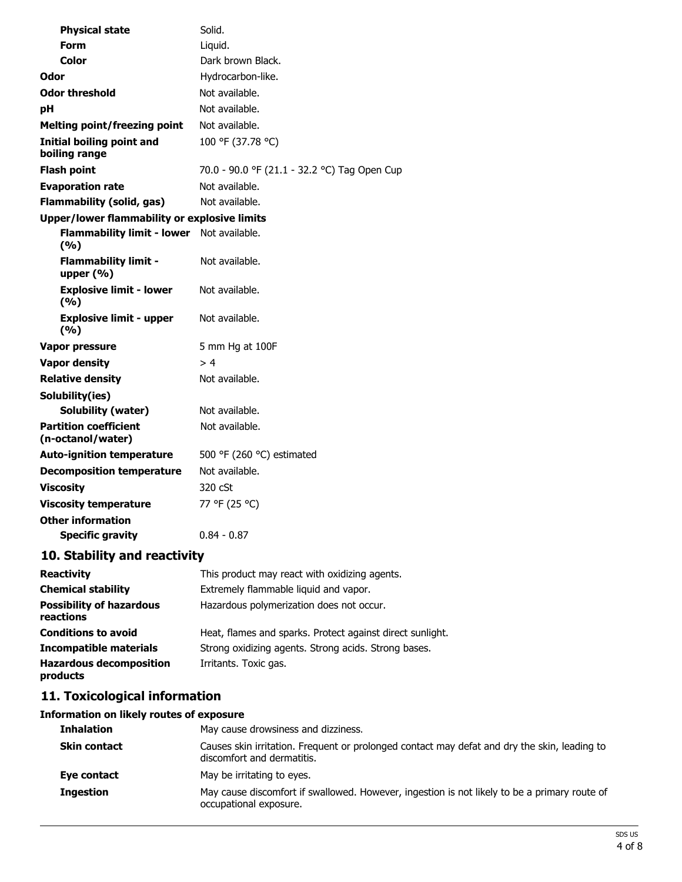| <b>Physical state</b>                               | Solid.                                       |
|-----------------------------------------------------|----------------------------------------------|
| Form                                                | Liquid.                                      |
| Color                                               | Dark brown Black.                            |
| Odor                                                | Hydrocarbon-like.                            |
| <b>Odor threshold</b>                               | Not available.                               |
| рH                                                  | Not available.                               |
| <b>Melting point/freezing point</b>                 | Not available.                               |
| <b>Initial boiling point and</b><br>boiling range   | 100 °F (37.78 °C)                            |
| <b>Flash point</b>                                  | 70.0 - 90.0 °F (21.1 - 32.2 °C) Tag Open Cup |
| <b>Evaporation rate</b>                             | Not available.                               |
| <b>Flammability (solid, gas)</b>                    | Not available.                               |
| <b>Upper/lower flammability or explosive limits</b> |                                              |
| <b>Flammability limit - lower</b><br>(9/6)          | Not available.                               |
| <b>Flammability limit -</b><br>upper $(% )$         | Not available.                               |
| <b>Explosive limit - lower</b><br>(9/6)             | Not available.                               |
| <b>Explosive limit - upper</b><br>(%)               | Not available.                               |
| Vapor pressure                                      | 5 mm Hg at 100F                              |
| <b>Vapor density</b>                                | >4                                           |
| <b>Relative density</b>                             | Not available.                               |
| Solubility(ies)                                     |                                              |
| <b>Solubility (water)</b>                           | Not available.                               |
| <b>Partition coefficient</b><br>(n-octanol/water)   | Not available.                               |
| <b>Auto-ignition temperature</b>                    | 500 °F (260 °C) estimated                    |
| <b>Decomposition temperature</b>                    | Not available.                               |
| <b>Viscosity</b>                                    | 320 cSt                                      |
| <b>Viscosity temperature</b>                        | 77 °F (25 °C)                                |
| <b>Other information</b>                            |                                              |
| <b>Specific gravity</b>                             | $0.84 - 0.87$                                |
|                                                     |                                              |

# **10. Stability and reactivity**

| <b>Reactivity</b>                            | This product may react with oxidizing agents.             |
|----------------------------------------------|-----------------------------------------------------------|
| <b>Chemical stability</b>                    | Extremely flammable liquid and vapor.                     |
| <b>Possibility of hazardous</b><br>reactions | Hazardous polymerization does not occur.                  |
| <b>Conditions to avoid</b>                   | Heat, flames and sparks. Protect against direct sunlight. |
| <b>Incompatible materials</b>                | Strong oxidizing agents. Strong acids. Strong bases.      |
| <b>Hazardous decomposition</b><br>products   | Irritants. Toxic gas.                                     |

# **11. Toxicological information**

#### **Information on likely routes of exposure**

| <b>Inhalation</b>   | May cause drowsiness and dizziness.                                                                                        |
|---------------------|----------------------------------------------------------------------------------------------------------------------------|
| <b>Skin contact</b> | Causes skin irritation. Frequent or prolonged contact may defat and dry the skin, leading to<br>discomfort and dermatitis. |
| Eye contact         | May be irritating to eyes.                                                                                                 |
| <b>Ingestion</b>    | May cause discomfort if swallowed. However, ingestion is not likely to be a primary route of<br>occupational exposure.     |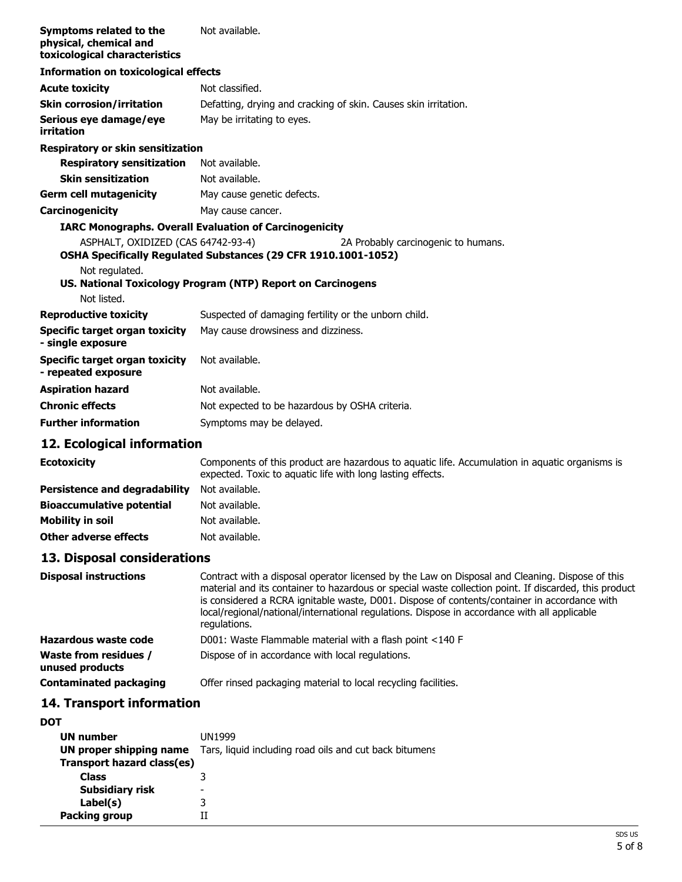| Symptoms related to the<br>physical, chemical and<br>toxicological characteristics | Not available.                                                                                                                                                                |  |
|------------------------------------------------------------------------------------|-------------------------------------------------------------------------------------------------------------------------------------------------------------------------------|--|
| <b>Information on toxicological effects</b>                                        |                                                                                                                                                                               |  |
| <b>Acute toxicity</b>                                                              | Not classified.                                                                                                                                                               |  |
| <b>Skin corrosion/irritation</b>                                                   | Defatting, drying and cracking of skin. Causes skin irritation.                                                                                                               |  |
| Serious eye damage/eye<br>irritation                                               | May be irritating to eyes.                                                                                                                                                    |  |
| <b>Respiratory or skin sensitization</b>                                           |                                                                                                                                                                               |  |
| <b>Respiratory sensitization</b>                                                   | Not available.                                                                                                                                                                |  |
| <b>Skin sensitization</b>                                                          | Not available.                                                                                                                                                                |  |
| <b>Germ cell mutagenicity</b>                                                      | May cause genetic defects.                                                                                                                                                    |  |
| Carcinogenicity                                                                    | May cause cancer.                                                                                                                                                             |  |
|                                                                                    | <b>IARC Monographs. Overall Evaluation of Carcinogenicity</b>                                                                                                                 |  |
| ASPHALT, OXIDIZED (CAS 64742-93-4)                                                 | 2A Probably carcinogenic to humans.<br>OSHA Specifically Regulated Substances (29 CFR 1910.1001-1052)                                                                         |  |
| Not regulated.                                                                     | US. National Toxicology Program (NTP) Report on Carcinogens                                                                                                                   |  |
| Not listed.                                                                        |                                                                                                                                                                               |  |
| <b>Reproductive toxicity</b>                                                       | Suspected of damaging fertility or the unborn child.                                                                                                                          |  |
| Specific target organ toxicity<br>- single exposure                                | May cause drowsiness and dizziness.                                                                                                                                           |  |
| <b>Specific target organ toxicity</b><br>- repeated exposure                       | Not available.                                                                                                                                                                |  |
| <b>Aspiration hazard</b>                                                           | Not available.                                                                                                                                                                |  |
| <b>Chronic effects</b>                                                             | Not expected to be hazardous by OSHA criteria.                                                                                                                                |  |
| <b>Further information</b>                                                         | Symptoms may be delayed.                                                                                                                                                      |  |
| 12. Ecological information                                                         |                                                                                                                                                                               |  |
| <b>Ecotoxicity</b>                                                                 | Components of this product are hazardous to aquatic life. Accumulation in aquatic organisms is<br>وطويع ككوير ويعتلجوا والمسوا والمترور وكتاره تمعون والمراوية والمتحال المرو |  |

|                               | expected. Toxic to aquatic life with long lasting effects. |
|-------------------------------|------------------------------------------------------------|
| Persistence and degradability | Not available.                                             |
| Bioaccumulative potential     | Not available.                                             |
| Mobility in soil              | Not available.                                             |
| Other adverse effects         | Not available.                                             |

# **13. Disposal considerations**

| <b>Disposal instructions</b>                    | Contract with a disposal operator licensed by the Law on Disposal and Cleaning. Dispose of this<br>material and its container to hazardous or special waste collection point. If discarded, this product<br>is considered a RCRA ignitable waste, D001. Dispose of contents/container in accordance with<br>local/regional/national/international regulations. Dispose in accordance with all applicable<br>requlations. |
|-------------------------------------------------|--------------------------------------------------------------------------------------------------------------------------------------------------------------------------------------------------------------------------------------------------------------------------------------------------------------------------------------------------------------------------------------------------------------------------|
| Hazardous waste code                            | D001: Waste Flammable material with a flash point <140 F                                                                                                                                                                                                                                                                                                                                                                 |
| <b>Waste from residues /</b><br>unused products | Dispose of in accordance with local regulations.                                                                                                                                                                                                                                                                                                                                                                         |
| <b>Contaminated packaging</b>                   | Offer rinsed packaging material to local recycling facilities.                                                                                                                                                                                                                                                                                                                                                           |

# **14. Transport information**

### **DOT**

| <b>UN number</b><br>UN proper shipping name<br>Transport hazard class(es) | UN1999<br>Tars, liquid including road oils and cut back bitumens |
|---------------------------------------------------------------------------|------------------------------------------------------------------|
| <b>Class</b>                                                              |                                                                  |
| <b>Subsidiary risk</b><br>Label(s)                                        | -<br>3                                                           |
| <b>Packing group</b>                                                      |                                                                  |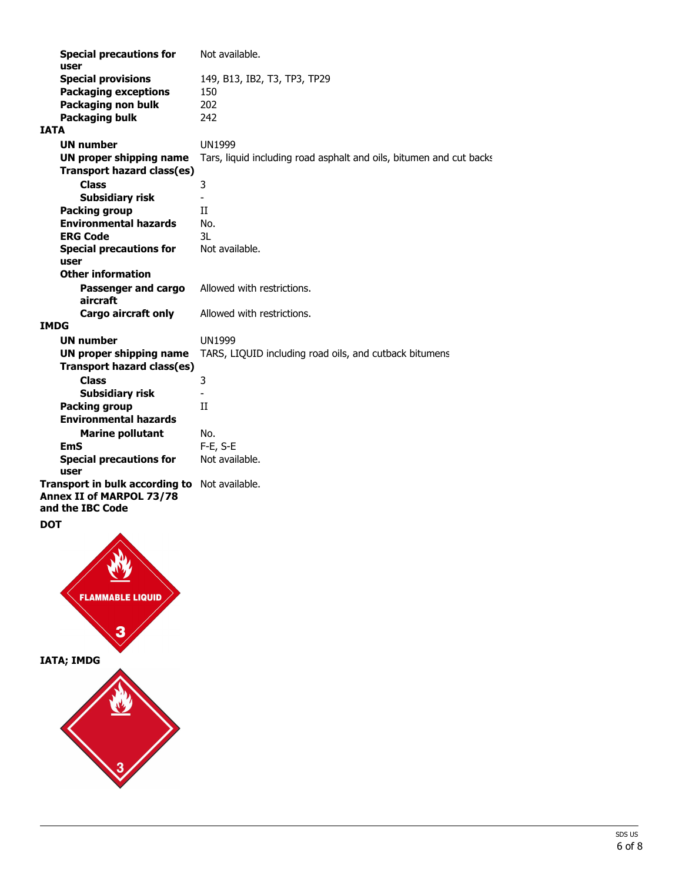| <b>Special precautions for</b><br>user | Not available.                                                      |
|----------------------------------------|---------------------------------------------------------------------|
| <b>Special provisions</b>              | 149, B13, IB2, T3, TP3, TP29                                        |
| <b>Packaging exceptions</b>            | 150                                                                 |
| Packaging non bulk                     | 202                                                                 |
| <b>Packaging bulk</b>                  | 242                                                                 |
| <b>IATA</b>                            |                                                                     |
| <b>UN number</b>                       | <b>UN1999</b>                                                       |
| <b>UN proper shipping name</b>         | Tars, liquid including road asphalt and oils, bitumen and cut backs |
| <b>Transport hazard class(es)</b>      |                                                                     |
| <b>Class</b>                           | 3                                                                   |
| <b>Subsidiary risk</b>                 | ÷.                                                                  |
| <b>Packing group</b>                   | $\mathbf{H}$                                                        |
| <b>Environmental hazards</b>           | No.                                                                 |
| <b>ERG Code</b>                        | 3L                                                                  |
| <b>Special precautions for</b>         | Not available.                                                      |
| user                                   |                                                                     |
| <b>Other information</b>               |                                                                     |
| Passenger and cargo                    | Allowed with restrictions.                                          |
| aircraft                               |                                                                     |
| <b>Cargo aircraft only</b>             | Allowed with restrictions.                                          |
| <b>IMDG</b>                            |                                                                     |
| <b>UN number</b>                       | <b>UN1999</b>                                                       |
| <b>UN proper shipping name</b>         | TARS, LIQUID including road oils, and cutback bitumens              |
| Transport hazard class(es)             |                                                                     |
| <b>Class</b>                           | 3                                                                   |
| <b>Subsidiary risk</b>                 | ÷,                                                                  |
| <b>Packing group</b>                   | $\mathbf{I}$                                                        |
| <b>Environmental hazards</b>           |                                                                     |
| <b>Marine pollutant</b>                | No.                                                                 |
| <b>EmS</b>                             | F-E, S-E                                                            |
| <b>Special precautions for</b>         | Not available.                                                      |
| user                                   |                                                                     |
| Transport in bulk according to         | Not available.                                                      |
| <b>Annex II of MARPOL 73/78</b>        |                                                                     |
| and the IBC Code                       |                                                                     |
| <b>DOT</b>                             |                                                                     |
| <b>MMADI</b>                           |                                                                     |

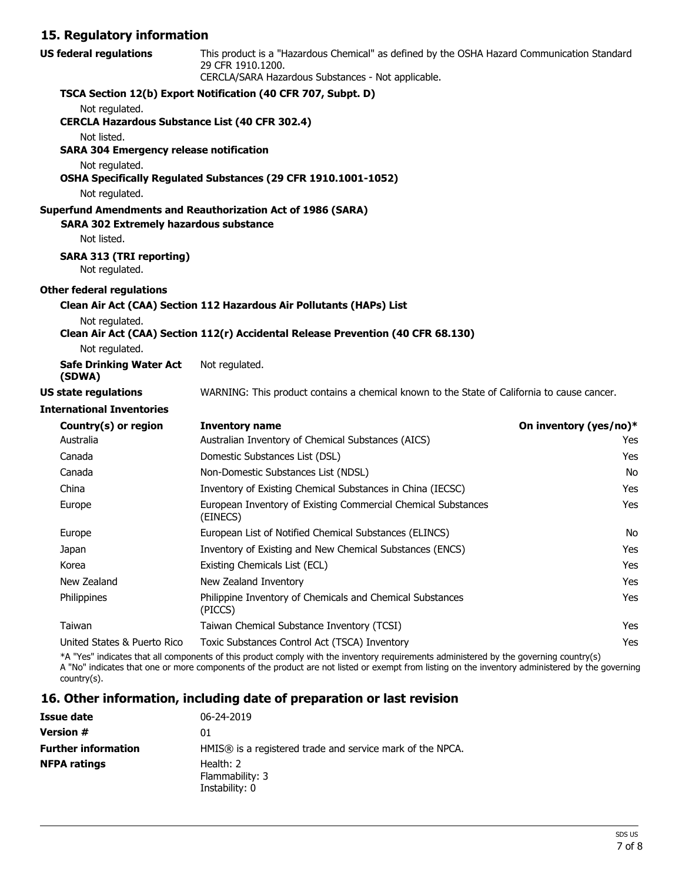## **15. Regulatory information**

| <b>US federal regulations</b>                                           | This product is a "Hazardous Chemical" as defined by the OSHA Hazard Communication Standard<br>29 CFR 1910.1200.<br>CERCLA/SARA Hazardous Substances - Not applicable. |                        |
|-------------------------------------------------------------------------|------------------------------------------------------------------------------------------------------------------------------------------------------------------------|------------------------|
|                                                                         | TSCA Section 12(b) Export Notification (40 CFR 707, Subpt. D)                                                                                                          |                        |
| Not regulated.<br><b>CERCLA Hazardous Substance List (40 CFR 302.4)</b> |                                                                                                                                                                        |                        |
| Not listed.                                                             |                                                                                                                                                                        |                        |
| <b>SARA 304 Emergency release notification</b>                          |                                                                                                                                                                        |                        |
| Not regulated.                                                          |                                                                                                                                                                        |                        |
|                                                                         | OSHA Specifically Regulated Substances (29 CFR 1910.1001-1052)                                                                                                         |                        |
| Not regulated.                                                          |                                                                                                                                                                        |                        |
|                                                                         | <b>Superfund Amendments and Reauthorization Act of 1986 (SARA)</b>                                                                                                     |                        |
| <b>SARA 302 Extremely hazardous substance</b><br>Not listed.            |                                                                                                                                                                        |                        |
|                                                                         |                                                                                                                                                                        |                        |
| <b>SARA 313 (TRI reporting)</b><br>Not regulated.                       |                                                                                                                                                                        |                        |
| <b>Other federal regulations</b>                                        |                                                                                                                                                                        |                        |
|                                                                         | Clean Air Act (CAA) Section 112 Hazardous Air Pollutants (HAPs) List                                                                                                   |                        |
| Not regulated.                                                          |                                                                                                                                                                        |                        |
|                                                                         | Clean Air Act (CAA) Section 112(r) Accidental Release Prevention (40 CFR 68.130)                                                                                       |                        |
| Not regulated.                                                          |                                                                                                                                                                        |                        |
| <b>Safe Drinking Water Act</b><br>(SDWA)                                | Not regulated.                                                                                                                                                         |                        |
| <b>US state regulations</b>                                             | WARNING: This product contains a chemical known to the State of California to cause cancer.                                                                            |                        |
| <b>International Inventories</b>                                        |                                                                                                                                                                        |                        |
| Country(s) or region                                                    | <b>Inventory name</b>                                                                                                                                                  | On inventory (yes/no)* |
| Australia                                                               | Australian Inventory of Chemical Substances (AICS)                                                                                                                     | Yes                    |
| Canada                                                                  | Domestic Substances List (DSL)                                                                                                                                         | Yes                    |
| Canada                                                                  | Non-Domestic Substances List (NDSL)                                                                                                                                    | No                     |
| China                                                                   | Inventory of Existing Chemical Substances in China (IECSC)                                                                                                             | Yes                    |
| Europe                                                                  | European Inventory of Existing Commercial Chemical Substances<br>(EINECS)                                                                                              | Yes                    |
| Europe                                                                  | European List of Notified Chemical Substances (ELINCS)                                                                                                                 | No                     |
| Japan                                                                   | Inventory of Existing and New Chemical Substances (ENCS)                                                                                                               | Yes                    |
| Korea                                                                   | Existing Chemicals List (ECL)                                                                                                                                          | Yes                    |
| New Zealand                                                             | New Zealand Inventory                                                                                                                                                  | Yes                    |
| Philippines                                                             | Philippine Inventory of Chemicals and Chemical Substances<br>(PICCS)                                                                                                   | Yes                    |
| Taiwan                                                                  | Taiwan Chemical Substance Inventory (TCSI)                                                                                                                             | Yes                    |
| United States & Puerto Rico                                             | Toxic Substances Control Act (TSCA) Inventory                                                                                                                          | Yes                    |
|                                                                         | *A "Yes" indicates that all components of this product comply with the inventory requirements administered by the governing country(s)                                 |                        |

A "No" indicates that one or more components of the product are not listed or exempt from listing on the inventory administered by the governing country(s).

#### **16. Other information, including date of preparation or last revision**

| Issue date                 | 06-24-2019                                                |
|----------------------------|-----------------------------------------------------------|
| Version #                  | 01                                                        |
| <b>Further information</b> | HMIS® is a registered trade and service mark of the NPCA. |
| <b>NFPA ratings</b>        | Health: 2<br>Flammability: 3<br>Instability: 0            |